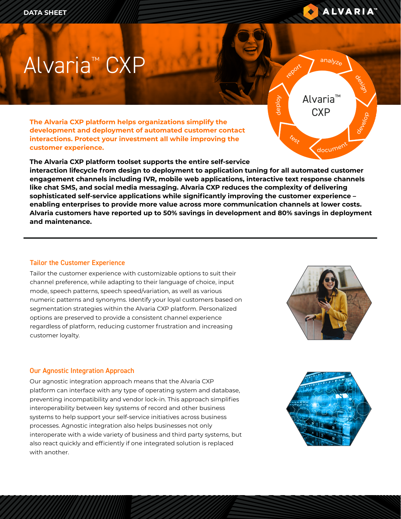

design

develop

<sup>a</sup>nalyz<sup>e</sup>

Alvaria™ **CXP** 

document

report

<sup>t</sup>es<sup>t</sup>

d e ploy

# Alvaria™ CXP

**The Alvaria CXP platform helps organizations simplify the development and deployment of automated customer contact interactions. Protect your investment all while improving the customer experience.** 

**The Alvaria CXP platform toolset supports the entire self-service interaction lifecycle from design to deployment to application tuning for all automated customer engagement channels including IVR, mobile web applications, interactive text response channels like chat SMS, and social media messaging. Alvaria CXP reduces the complexity of delivering sophisticated self-service applications while significantly improving the customer experience – enabling enterprises to provide more value across more communication channels at lower costs. Alvaria customers have reported up to 50% savings in development and 80% savings in deployment and maintenance.**

## Tailor the Customer Experience

Tailor the customer experience with customizable options to suit their channel preference, while adapting to their language of choice, input mode, speech patterns, speech speed/variation, as well as various numeric patterns and synonyms. Identify your loyal customers based on segmentation strategies within the Alvaria CXP platform. Personalized options are preserved to provide a consistent channel experience regardless of platform, reducing customer frustration and increasing customer loyalty.



# Our Agnostic Integration Approach

Our agnostic integration approach means that the Alvaria CXP platform can interface with any type of operating system and database, preventing incompatibility and vendor lock-in. This approach simplifies interoperability between key systems of record and other business systems to help support your self-service initiatives across business processes. Agnostic integration also helps businesses not only interoperate with a wide variety of business and third party systems, but also react quickly and efficiently if one integrated solution is replaced with another.